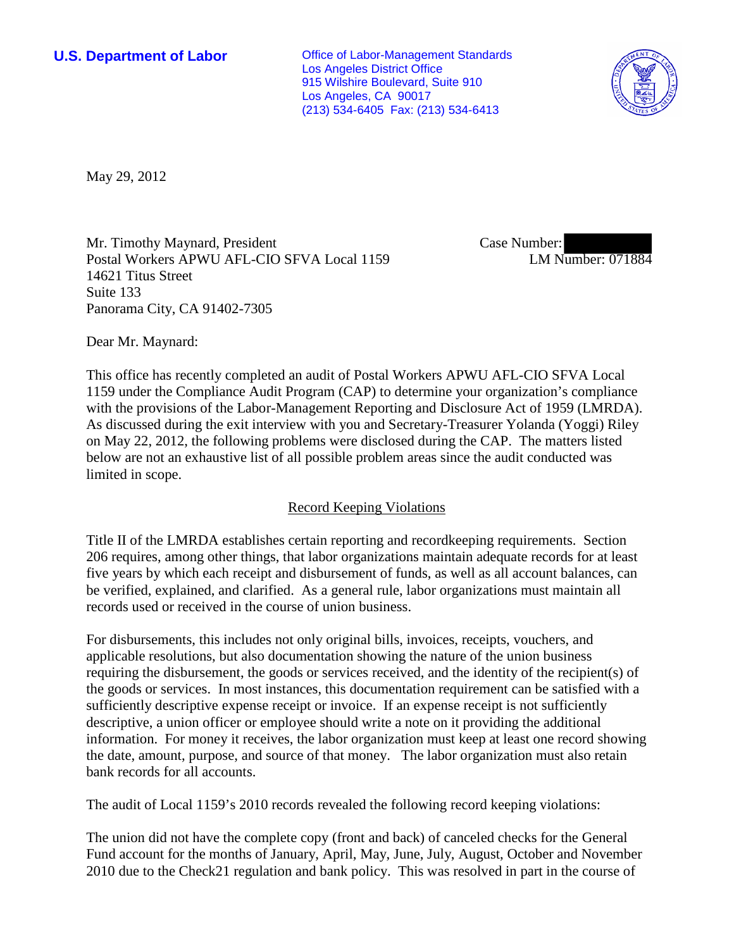**U.S. Department of Labor Office of Labor-Management Standards** Los Angeles District Office 915 Wilshire Boulevard, Suite 910 Los Angeles, CA 90017 (213) 534-6405 Fax: (213) 534-6413



May 29, 2012

Mr. Timothy Maynard, President Postal Workers APWU AFL-CIO SFVA Local 1159 14621 Titus Street Suite 133 Panorama City, CA 91402-7305

Case Number: LM Number: 071884

Dear Mr. Maynard:

This office has recently completed an audit of Postal Workers APWU AFL-CIO SFVA Local 1159 under the Compliance Audit Program (CAP) to determine your organization's compliance with the provisions of the Labor-Management Reporting and Disclosure Act of 1959 (LMRDA). As discussed during the exit interview with you and Secretary-Treasurer Yolanda (Yoggi) Riley on May 22, 2012, the following problems were disclosed during the CAP. The matters listed below are not an exhaustive list of all possible problem areas since the audit conducted was limited in scope.

# Record Keeping Violations

Title II of the LMRDA establishes certain reporting and recordkeeping requirements. Section 206 requires, among other things, that labor organizations maintain adequate records for at least five years by which each receipt and disbursement of funds, as well as all account balances, can be verified, explained, and clarified. As a general rule, labor organizations must maintain all records used or received in the course of union business.

For disbursements, this includes not only original bills, invoices, receipts, vouchers, and applicable resolutions, but also documentation showing the nature of the union business requiring the disbursement, the goods or services received, and the identity of the recipient(s) of the goods or services. In most instances, this documentation requirement can be satisfied with a sufficiently descriptive expense receipt or invoice. If an expense receipt is not sufficiently descriptive, a union officer or employee should write a note on it providing the additional information. For money it receives, the labor organization must keep at least one record showing the date, amount, purpose, and source of that money. The labor organization must also retain bank records for all accounts.

The audit of Local 1159's 2010 records revealed the following record keeping violations:

The union did not have the complete copy (front and back) of canceled checks for the General Fund account for the months of January, April, May, June, July, August, October and November 2010 due to the Check21 regulation and bank policy. This was resolved in part in the course of